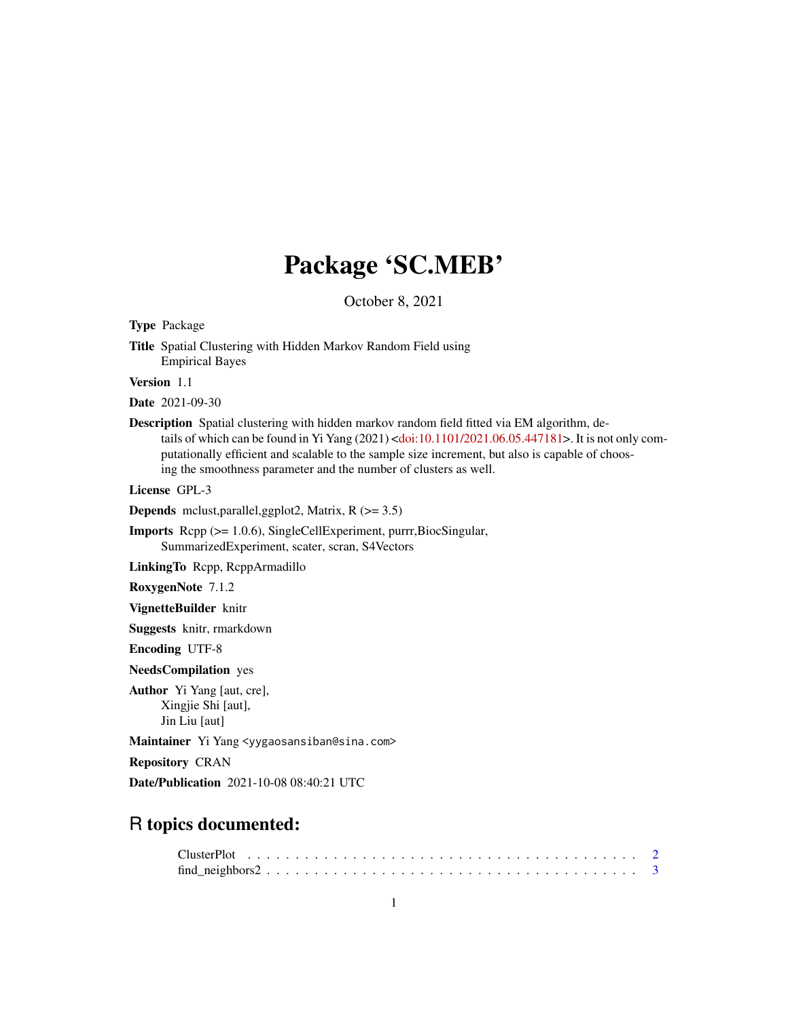# Package 'SC.MEB'

October 8, 2021

<span id="page-0-0"></span>Type Package

Title Spatial Clustering with Hidden Markov Random Field using Empirical Bayes

Version 1.1

Date 2021-09-30

Description Spatial clustering with hidden markov random field fitted via EM algorithm, de-tails of which can be found in Yi Yang (2021) [<doi:10.1101/2021.06.05.447181>](https://doi.org/10.1101/2021.06.05.447181). It is not only computationally efficient and scalable to the sample size increment, but also is capable of choosing the smoothness parameter and the number of clusters as well.

License GPL-3

**Depends** mclust,parallel,ggplot2, Matrix,  $R$  ( $> = 3.5$ )

Imports Rcpp (>= 1.0.6), SingleCellExperiment, purrr,BiocSingular, SummarizedExperiment, scater, scran, S4Vectors

LinkingTo Rcpp, RcppArmadillo

RoxygenNote 7.1.2

VignetteBuilder knitr

Suggests knitr, rmarkdown

Encoding UTF-8

NeedsCompilation yes

Author Yi Yang [aut, cre], Xingjie Shi [aut], Jin Liu [aut]

Maintainer Yi Yang <yygaosansiban@sina.com>

Repository CRAN

Date/Publication 2021-10-08 08:40:21 UTC

## R topics documented:

| $find\_neighbors2 \ldots \ldots \ldots \ldots \ldots \ldots \ldots \ldots \ldots \ldots \ldots \ldots \ldots 3$ |  |
|-----------------------------------------------------------------------------------------------------------------|--|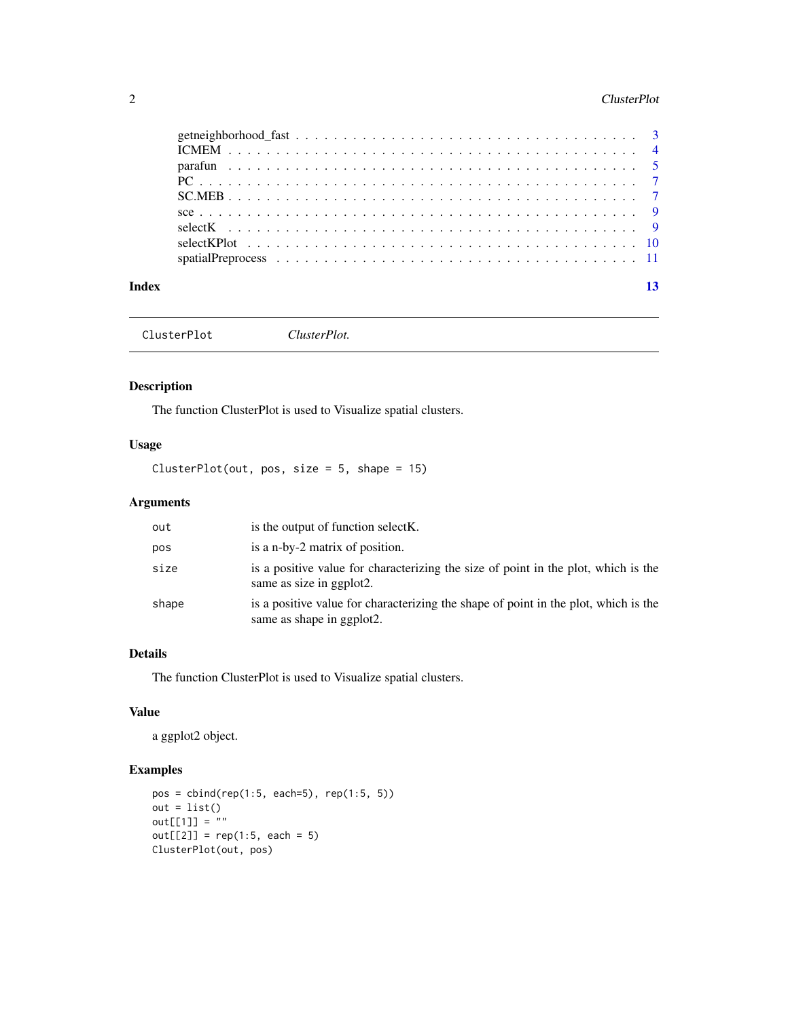#### <span id="page-1-0"></span>2 ClusterPlot

ClusterPlot *ClusterPlot.*

#### Description

The function ClusterPlot is used to Visualize spatial clusters.

#### Usage

ClusterPlot(out, pos, size = 5, shape = 15)

#### Arguments

| out   | is the output of function select K.                                                                              |
|-------|------------------------------------------------------------------------------------------------------------------|
| pos   | is a n-by-2 matrix of position.                                                                                  |
| size  | is a positive value for characterizing the size of point in the plot, which is the<br>same as size in ggplot2.   |
| shape | is a positive value for characterizing the shape of point in the plot, which is the<br>same as shape in ggplot2. |

#### Details

The function ClusterPlot is used to Visualize spatial clusters.

#### Value

a ggplot2 object.

```
pos = cbind(rep(1:5, each=5), rep(1:5, 5))
out = list()
out[[1]] = ""
out[[2]] = rep(1:5, each = 5)ClusterPlot(out, pos)
```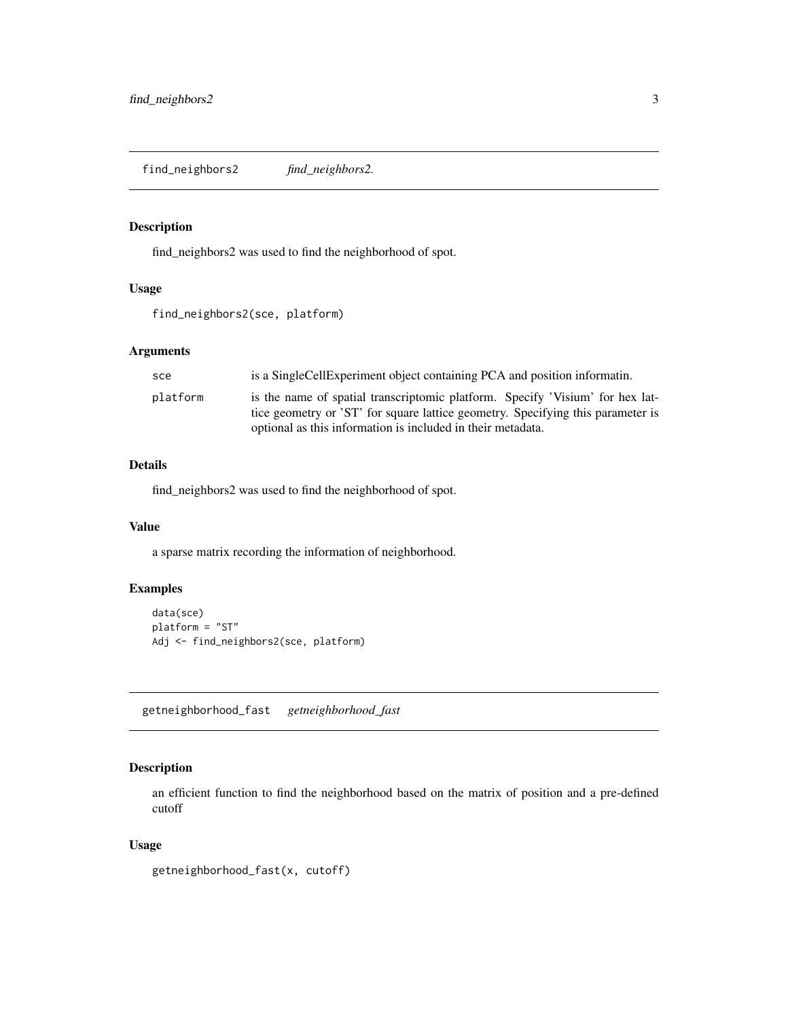<span id="page-2-0"></span>find\_neighbors2 *find\_neighbors2.*

#### Description

find\_neighbors2 was used to find the neighborhood of spot.

#### Usage

```
find_neighbors2(sce, platform)
```
#### Arguments

| is a Single Cell Experiment object containing PCA and position informatin.                                                                                                                                                      |
|---------------------------------------------------------------------------------------------------------------------------------------------------------------------------------------------------------------------------------|
| is the name of spatial transcriptomic platform. Specify 'Visium' for hex lat-<br>tice geometry or 'ST' for square lattice geometry. Specifying this parameter is<br>optional as this information is included in their metadata. |
|                                                                                                                                                                                                                                 |

#### Details

find\_neighbors2 was used to find the neighborhood of spot.

#### Value

a sparse matrix recording the information of neighborhood.

#### Examples

```
data(sce)
platform = "ST"
Adj <- find_neighbors2(sce, platform)
```
getneighborhood\_fast *getneighborhood\_fast*

#### Description

an efficient function to find the neighborhood based on the matrix of position and a pre-defined cutoff

#### Usage

```
getneighborhood_fast(x, cutoff)
```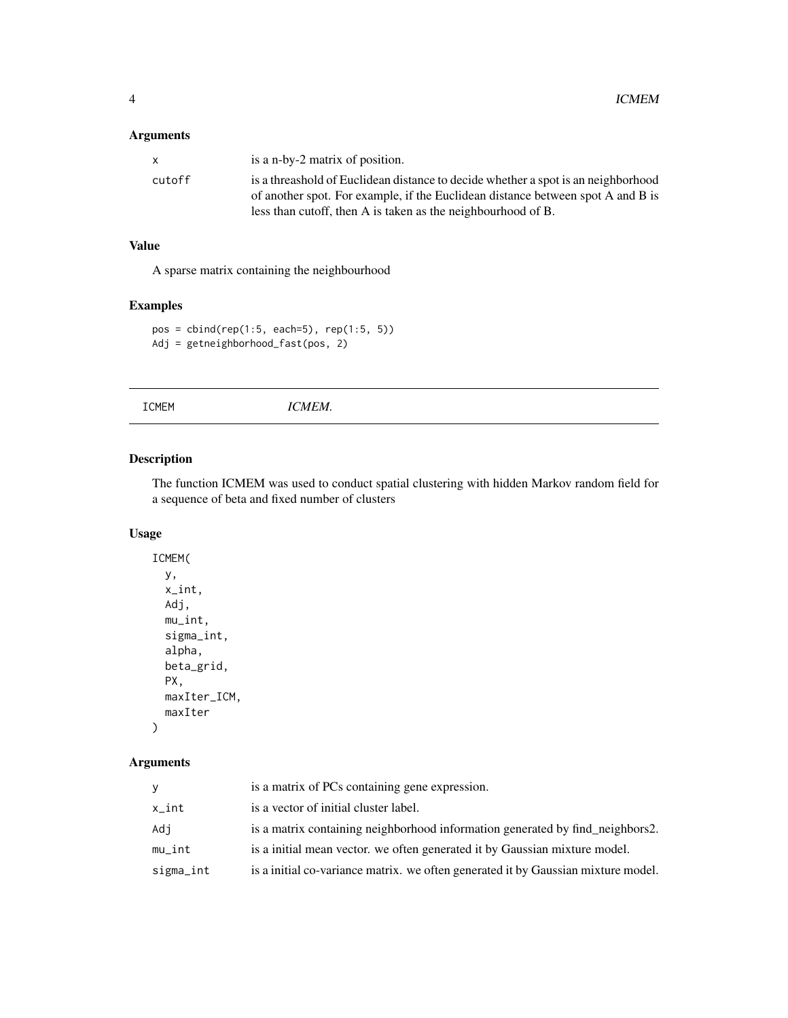#### <span id="page-3-0"></span>Arguments

|        | is a n-by-2 matrix of position.                                                   |
|--------|-----------------------------------------------------------------------------------|
| cutoff | is a threashold of Euclidean distance to decide whether a spot is an neighborhood |
|        | of another spot. For example, if the Euclidean distance between spot A and B is   |
|        | less than cutoff, then A is taken as the neighbourhood of B.                      |

#### Value

A sparse matrix containing the neighbourhood

#### Examples

```
pos = cbind(rep(1:5, each=5), rep(1:5, 5))
Adj = getneighborhood_fast(pos, 2)
```

| ICMEM. |
|--------|
|--------|

### Description

The function ICMEM was used to conduct spatial clustering with hidden Markov random field for a sequence of beta and fixed number of clusters

#### Usage

```
ICMEM(
 y,
  x_int,
 Adj,
 mu_int,
 sigma_int,
  alpha,
 beta_grid,
 PX,
 maxIter_ICM,
 maxIter
)
```

| V         | is a matrix of PCs containing gene expression.                                    |
|-----------|-----------------------------------------------------------------------------------|
| x_int     | is a vector of initial cluster label.                                             |
| Adj       | is a matrix containing neighborhood information generated by find neighbors2.     |
| mu_int    | is a initial mean vector, we often generated it by Gaussian mixture model.        |
| sigma_int | is a initial co-variance matrix. we often generated it by Gaussian mixture model. |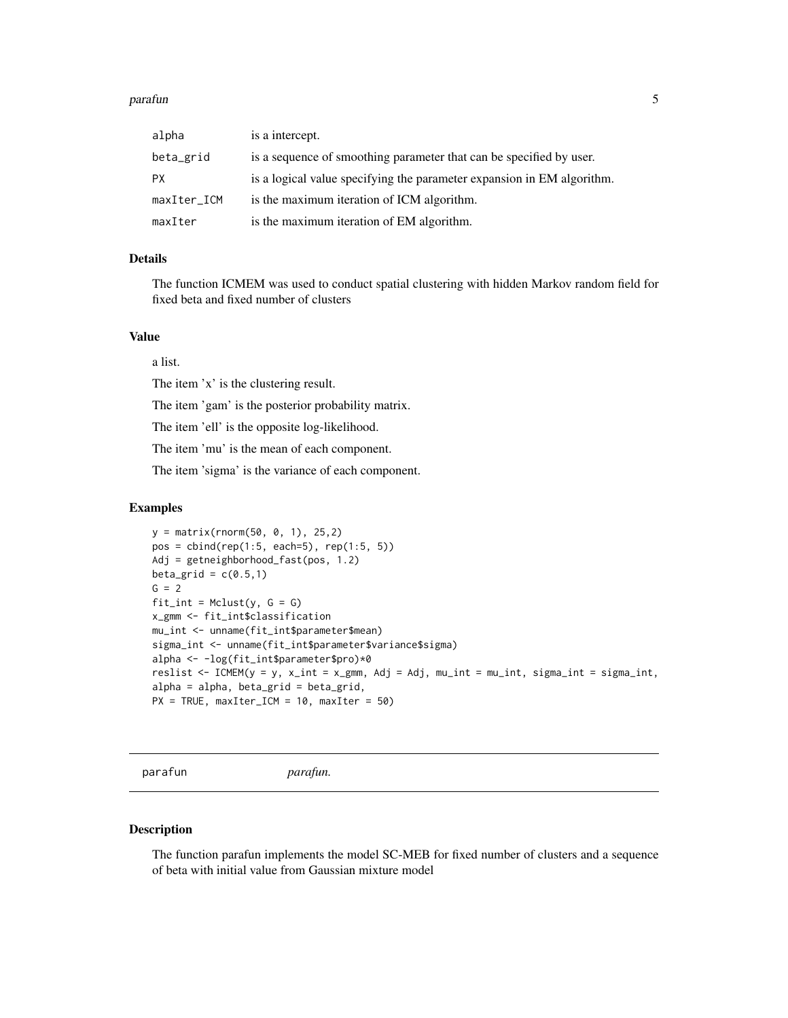#### <span id="page-4-0"></span>parafun 55 to 55 million of the contract of the contract of the contract of the contract of the contract of the contract of the contract of the contract of the contract of the contract of the contract of the contract of th

| alpha       | is a intercept.                                                        |
|-------------|------------------------------------------------------------------------|
| beta_grid   | is a sequence of smoothing parameter that can be specified by user.    |
| <b>PX</b>   | is a logical value specifying the parameter expansion in EM algorithm. |
| maxIter_ICM | is the maximum iteration of ICM algorithm.                             |
| maxIter     | is the maximum iteration of EM algorithm.                              |

#### Details

The function ICMEM was used to conduct spatial clustering with hidden Markov random field for fixed beta and fixed number of clusters

#### Value

a list.

The item 'x' is the clustering result.

The item 'gam' is the posterior probability matrix.

The item 'ell' is the opposite log-likelihood.

The item 'mu' is the mean of each component.

The item 'sigma' is the variance of each component.

#### Examples

```
y = matrix(rnorm(50, 0, 1), 25,2)
pos = child(rep(1:5, each=5), rep(1:5, 5))Adj = getneighborhood_fast(pos, 1.2)
beta_grid = c(0.5,1)G = 2fit\_int = Melust(y, G = G)x_gmm <- fit_int$classification
mu_int <- unname(fit_int$parameter$mean)
sigma_int <- unname(fit_int$parameter$variance$sigma)
alpha <- -log(fit_int$parameter$pro)*0
reslist \leq ICMEM(y = y, x_int = x_gmm, Adj = Adj, mu_int = mu_int, sigma_int = sigma_int,
alpha = alpha, beta_grid = beta_grid,
PX = TRUE, maxIter\_ICM = 10, maxIter = 50)
```
parafun *parafun.*

#### Description

The function parafun implements the model SC-MEB for fixed number of clusters and a sequence of beta with initial value from Gaussian mixture model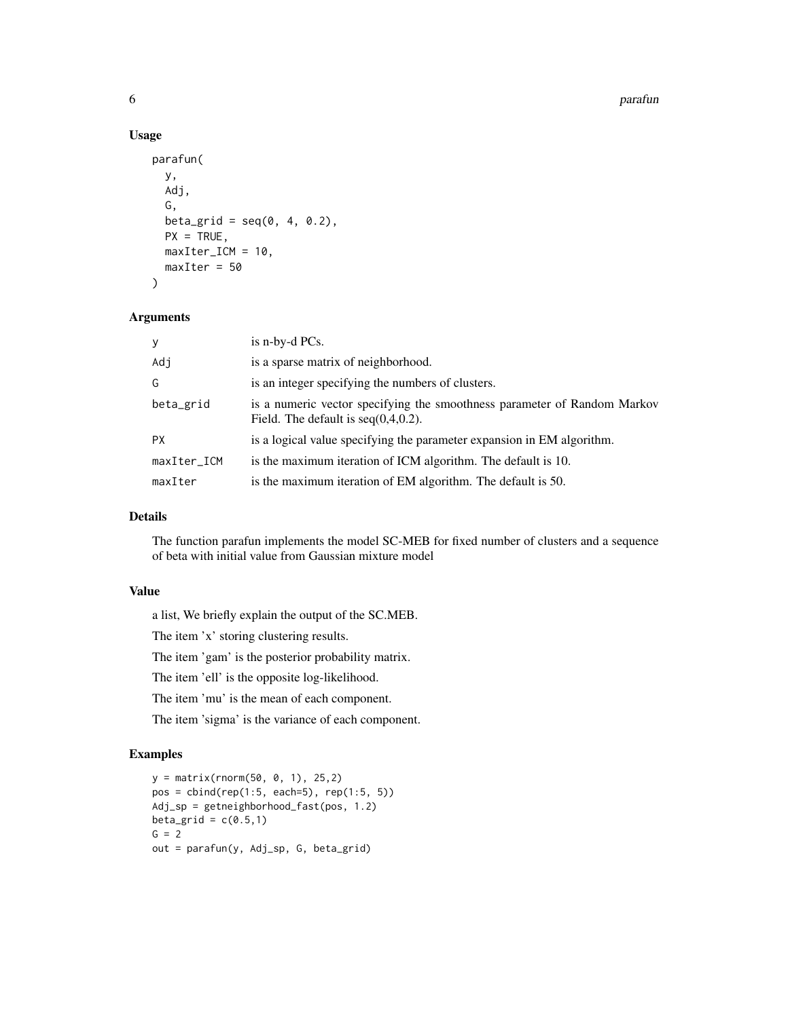#### 6 parafunction of the control of the control of the control of the control of the control of the control of the control of the control of the control of the control of the control of the control of the control of the contr

#### Usage

```
parafun(
 y,
 Adj,
  G,
  beta_grid = seq(0, 4, 0.2),
 PX = TRUE,maxIter\_ICM = 10,
 maxIter = 50
)
```
#### Arguments

| У           | is n-by-d PCs.                                                                                                     |
|-------------|--------------------------------------------------------------------------------------------------------------------|
| Adj         | is a sparse matrix of neighborhood.                                                                                |
| G           | is an integer specifying the numbers of clusters.                                                                  |
| beta_grid   | is a numeric vector specifying the smoothness parameter of Random Markov<br>Field. The default is $seq(0,4,0.2)$ . |
| <b>PX</b>   | is a logical value specifying the parameter expansion in EM algorithm.                                             |
| maxIter_ICM | is the maximum iteration of ICM algorithm. The default is 10.                                                      |
| maxIter     | is the maximum iteration of EM algorithm. The default is 50.                                                       |

#### Details

The function parafun implements the model SC-MEB for fixed number of clusters and a sequence of beta with initial value from Gaussian mixture model

#### Value

a list, We briefly explain the output of the SC.MEB.

The item 'x' storing clustering results.

The item 'gam' is the posterior probability matrix.

The item 'ell' is the opposite log-likelihood.

The item 'mu' is the mean of each component.

The item 'sigma' is the variance of each component.

```
y = matrix(rnorm(50, 0, 1), 25,2)
pos = child(rep(1:5, each=5), rep(1:5, 5))Adj_sp = getneighborhood_fast(pos, 1.2)
beta_grid = c(0.5,1)G = 2out = parafun(y, Adj_sp, G, beta_grid)
```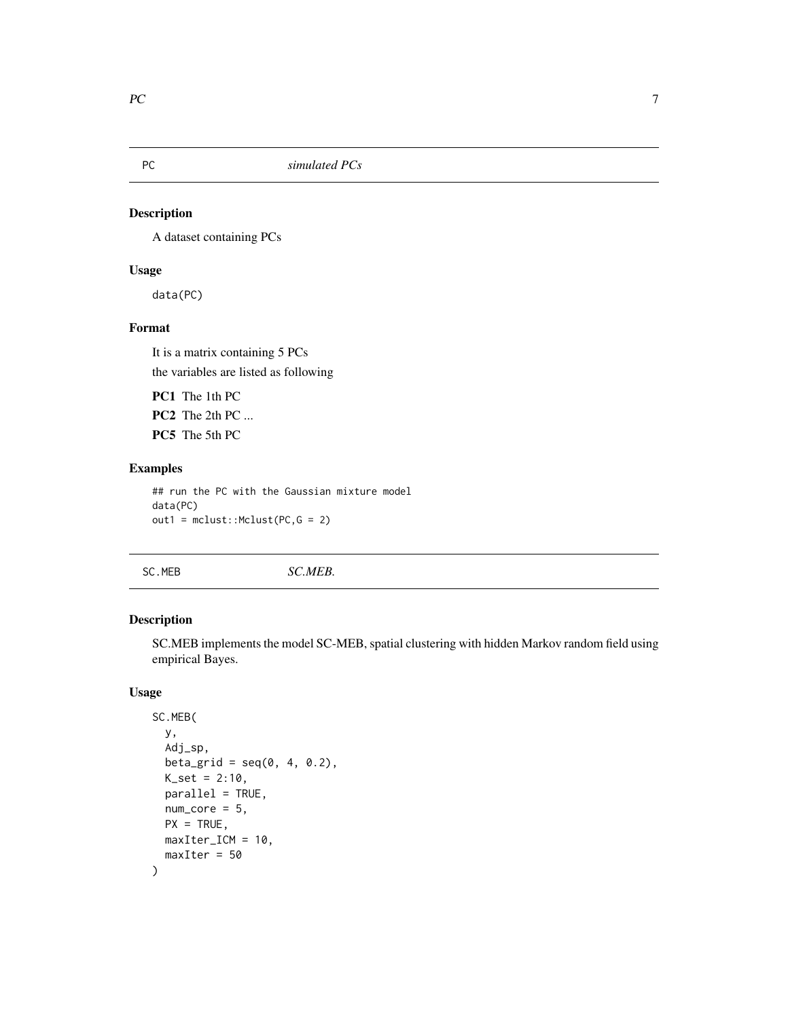<span id="page-6-0"></span>

#### Description

A dataset containing PCs

#### Usage

data(PC)

#### Format

It is a matrix containing 5 PCs the variables are listed as following

PC1 The 1th PC PC2 The 2th PC ... PC5 The 5th PC

#### Examples

```
## run the PC with the Gaussian mixture model
data(PC)
out1 = mclust::Mclust(PC,G = 2)
```
SC.MEB *SC.MEB.*

#### Description

SC.MEB implements the model SC-MEB, spatial clustering with hidden Markov random field using empirical Bayes.

#### Usage

```
SC.MEB(
 y,
 Adj_sp,
 beta_grid = seq(0, 4, 0.2),
 K_set = 2:10,
 parallel = TRUE,
 num\_core = 5,
 PX = TRUE,maxIter_ICM = 10,
 maxIter = 50)
```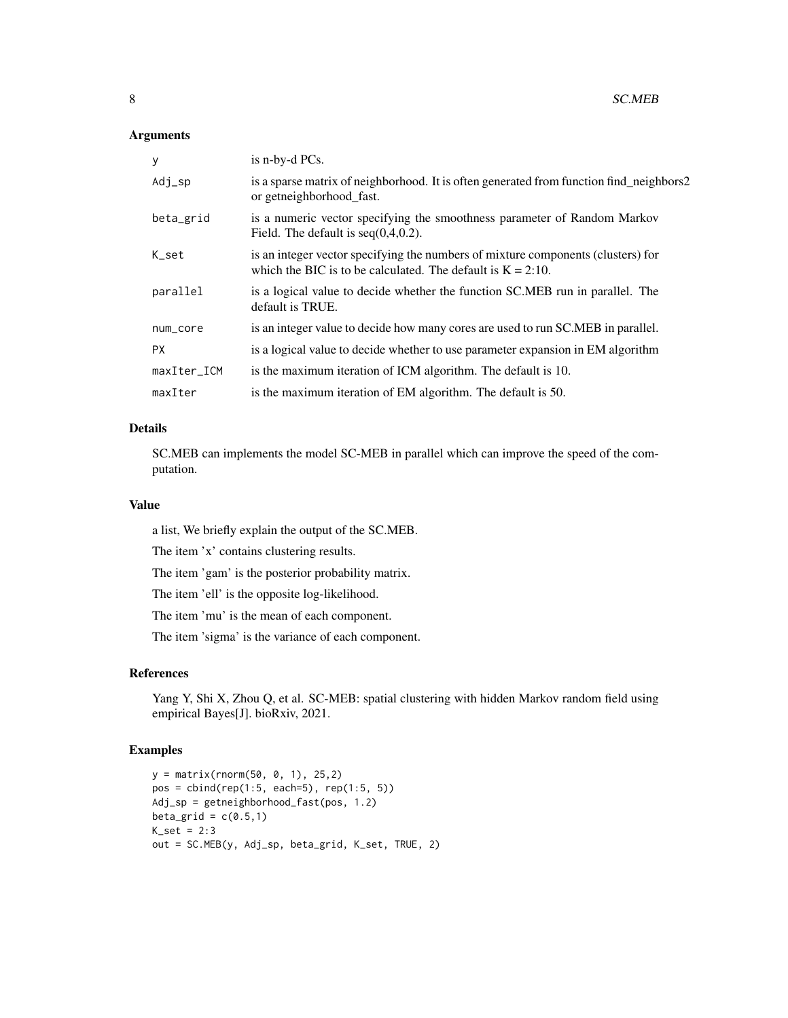#### Arguments

| У           | is n-by-d PCs.                                                                                                                                     |
|-------------|----------------------------------------------------------------------------------------------------------------------------------------------------|
| Adj_sp      | is a sparse matrix of neighborhood. It is often generated from function find_neighbors2<br>or getneighborhood fast.                                |
| beta_grid   | is a numeric vector specifying the smoothness parameter of Random Markov<br>Field. The default is $seq(0,4,0.2)$ .                                 |
| K_set       | is an integer vector specifying the numbers of mixture components (clusters) for<br>which the BIC is to be calculated. The default is $K = 2:10$ . |
| parallel    | is a logical value to decide whether the function SC.MEB run in parallel. The<br>default is TRUE.                                                  |
| num_core    | is an integer value to decide how many cores are used to run SC. MEB in parallel.                                                                  |
| <b>PX</b>   | is a logical value to decide whether to use parameter expansion in EM algorithm                                                                    |
| maxIter_ICM | is the maximum iteration of ICM algorithm. The default is 10.                                                                                      |
| maxIter     | is the maximum iteration of EM algorithm. The default is 50.                                                                                       |

#### Details

SC.MEB can implements the model SC-MEB in parallel which can improve the speed of the computation.

#### Value

a list, We briefly explain the output of the SC.MEB.

The item 'x' contains clustering results.

The item 'gam' is the posterior probability matrix.

The item 'ell' is the opposite log-likelihood.

The item 'mu' is the mean of each component.

The item 'sigma' is the variance of each component.

#### References

Yang Y, Shi X, Zhou Q, et al. SC-MEB: spatial clustering with hidden Markov random field using empirical Bayes[J]. bioRxiv, 2021.

```
y = matrix(rnorm(50, 0, 1), 25,2)
pos = child(rep(1:5, each=5), rep(1:5, 5))Adj_sp = getneighborhood_fast(pos, 1.2)
beta_grid = c(0.5,1)K_set = 2:3
out = SC.MEB(y, Adj_sp, beta_grid, K_set, TRUE, 2)
```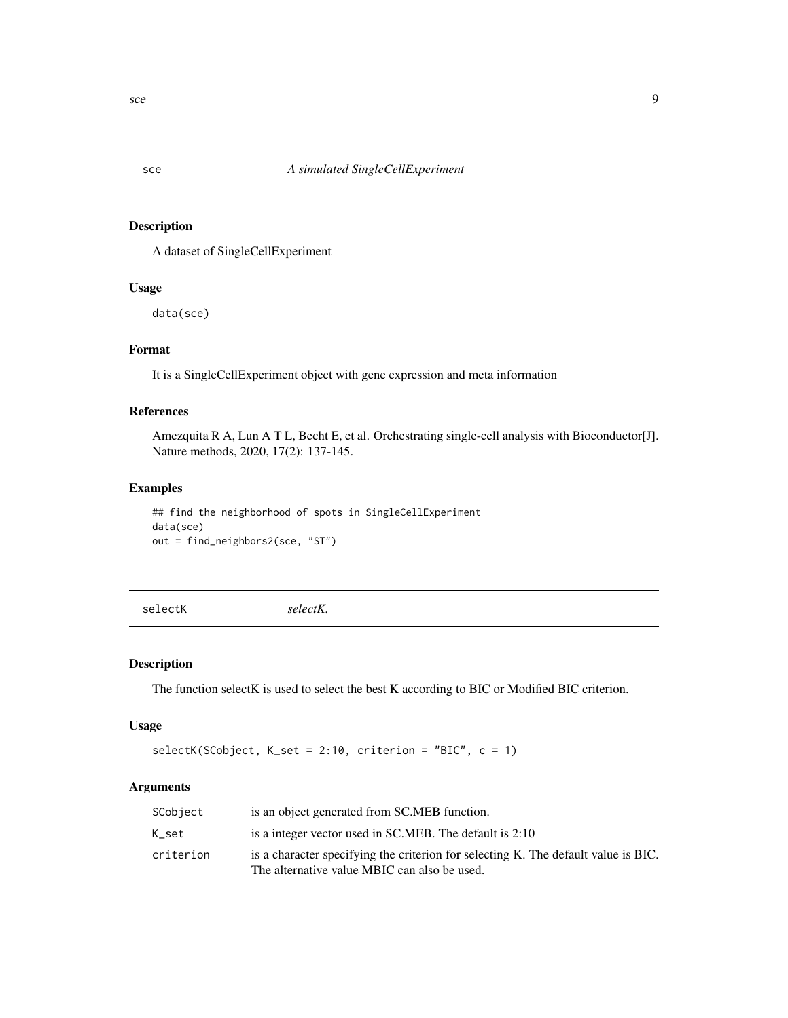<span id="page-8-0"></span>

#### Description

A dataset of SingleCellExperiment

#### Usage

data(sce)

#### Format

It is a SingleCellExperiment object with gene expression and meta information

#### References

Amezquita R A, Lun A T L, Becht E, et al. Orchestrating single-cell analysis with Bioconductor[J]. Nature methods, 2020, 17(2): 137-145.

#### Examples

## find the neighborhood of spots in SingleCellExperiment data(sce) out = find\_neighbors2(sce, "ST")

selectK *selectK.*

#### Description

The function selectK is used to select the best K according to BIC or Modified BIC criterion.

#### Usage

```
selectK(SCobject, K_set = 2:10, criterion = "BIC", c = 1)
```

| SCobject  | is an object generated from SC.MEB function.                                                                                       |
|-----------|------------------------------------------------------------------------------------------------------------------------------------|
| K set     | is a integer vector used in SC.MEB. The default is 2:10                                                                            |
| criterion | is a character specifying the criterion for selecting K. The default value is BIC.<br>The alternative value MBIC can also be used. |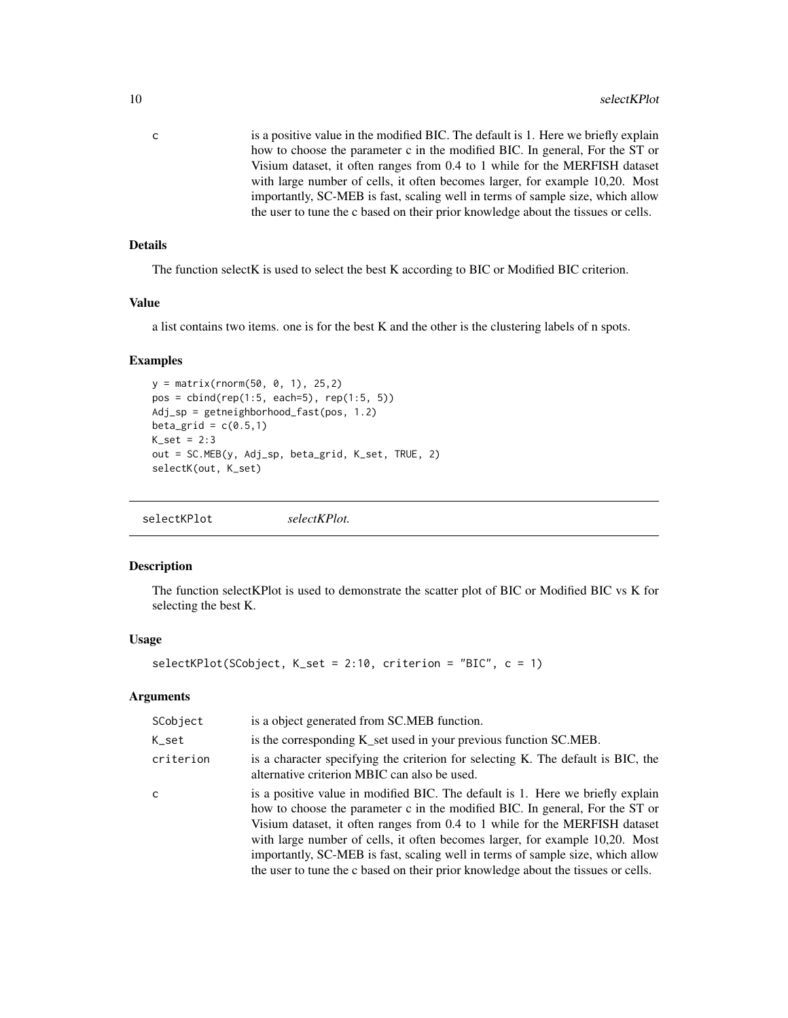<span id="page-9-0"></span>c is a positive value in the modified BIC. The default is 1. Here we briefly explain how to choose the parameter c in the modified BIC. In general, For the ST or Visium dataset, it often ranges from 0.4 to 1 while for the MERFISH dataset with large number of cells, it often becomes larger, for example 10,20. Most importantly, SC-MEB is fast, scaling well in terms of sample size, which allow the user to tune the c based on their prior knowledge about the tissues or cells.

#### Details

The function selectK is used to select the best K according to BIC or Modified BIC criterion.

#### Value

a list contains two items. one is for the best K and the other is the clustering labels of n spots.

#### Examples

```
y = matrix(rnorm(50, 0, 1), 25,2)
pos = child(rep(1:5, each=5), rep(1:5, 5))Adj_sp = getneighborhood_fast(pos, 1.2)
beta_grid = c(0.5,1)K_sset = 2:3
out = SC.MEB(y, Adj_sp, beta_grid, K_set, TRUE, 2)
selectK(out, K_set)
```
selectKPlot *selectKPlot.*

#### Description

The function selectKPlot is used to demonstrate the scatter plot of BIC or Modified BIC vs K for selecting the best K.

#### Usage

selectKPlot(SCobject, K\_set = 2:10, criterion = "BIC", c = 1)

| SCobject  | is a object generated from SC.MEB function.                                                                                                                                                                                                                                                                                                                                                                                                                                                          |
|-----------|------------------------------------------------------------------------------------------------------------------------------------------------------------------------------------------------------------------------------------------------------------------------------------------------------------------------------------------------------------------------------------------------------------------------------------------------------------------------------------------------------|
| K_set     | is the corresponding K_set used in your previous function SC.MEB.                                                                                                                                                                                                                                                                                                                                                                                                                                    |
| criterion | is a character specifying the criterion for selecting K. The default is BIC, the<br>alternative criterion MBIC can also be used.                                                                                                                                                                                                                                                                                                                                                                     |
| C         | is a positive value in modified BIC. The default is 1. Here we briefly explain<br>how to choose the parameter c in the modified BIC. In general, For the ST or<br>Visium dataset, it often ranges from 0.4 to 1 while for the MERFISH dataset<br>with large number of cells, it often becomes larger, for example 10,20. Most<br>importantly, SC-MEB is fast, scaling well in terms of sample size, which allow<br>the user to tune the c based on their prior knowledge about the tissues or cells. |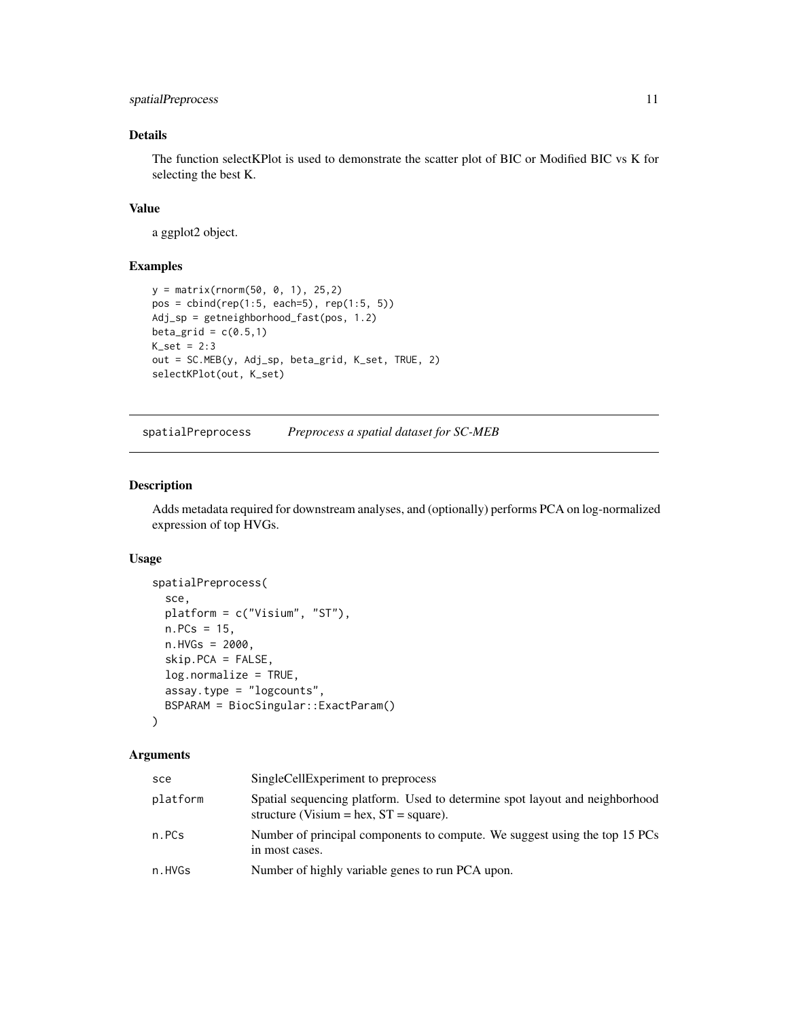#### <span id="page-10-0"></span>spatialPreprocess 11

#### Details

The function selectKPlot is used to demonstrate the scatter plot of BIC or Modified BIC vs K for selecting the best K.

#### Value

a ggplot2 object.

#### Examples

```
y = matrix(rnorm(50, 0, 1), 25,2)
pos = cbind(rep(1:5, each=5), rep(1:5, 5))
Adj_sp = getneighborhood_fast(pos, 1.2)
beta_grid = c(0.5,1)K_set = 2:3
out = SC.MEB(y, Adj_sp, beta_grid, K_set, TRUE, 2)
selectKPlot(out, K_set)
```
spatialPreprocess *Preprocess a spatial dataset for SC-MEB*

#### Description

Adds metadata required for downstream analyses, and (optionally) performs PCA on log-normalized expression of top HVGs.

#### Usage

```
spatialPreprocess(
  sce,
  platform = c("Visium", "ST"),
 n.PCs = 15,
  n.HVGs = 2000,skip.PCA = FALSE,
  log.normalize = TRUE,
  assay.type = "logcounts",
  BSPARAM = BiocSingular::ExactParam()
)
```

| sce      | SingleCellExperiment to preprocess                                                                                       |
|----------|--------------------------------------------------------------------------------------------------------------------------|
| platform | Spatial sequencing platform. Used to determine spot layout and neighborhood<br>structure (Visium = hex, $ST = square$ ). |
| n.PCs    | Number of principal components to compute. We suggest using the top 15 PCs<br>in most cases.                             |
| n.HVGs   | Number of highly variable genes to run PCA upon.                                                                         |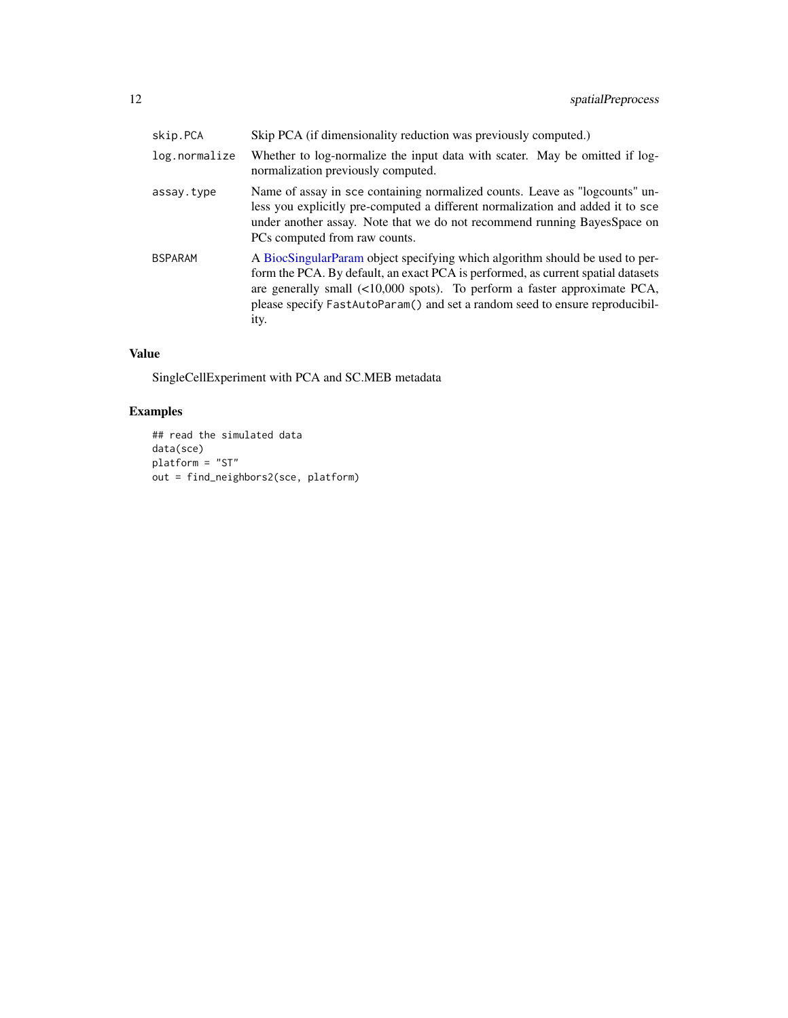<span id="page-11-0"></span>

| skip.PCA       | Skip PCA (if dimensionality reduction was previously computed.)                                                                                                                                                                                                                                                                          |
|----------------|------------------------------------------------------------------------------------------------------------------------------------------------------------------------------------------------------------------------------------------------------------------------------------------------------------------------------------------|
| log.normalize  | Whether to log-normalize the input data with scater. May be omitted if log-<br>normalization previously computed.                                                                                                                                                                                                                        |
| assay.type     | Name of assay in sce containing normalized counts. Leave as "logcounts" un-<br>less you explicitly pre-computed a different normalization and added it to sce<br>under another assay. Note that we do not recommend running BayesSpace on<br>PCs computed from raw counts.                                                               |
| <b>BSPARAM</b> | A BiocSingularParam object specifying which algorithm should be used to per-<br>form the PCA. By default, an exact PCA is performed, as current spatial datasets<br>are generally small $($ <10,000 spots). To perform a faster approximate PCA,<br>please specify FastAutoParam() and set a random seed to ensure reproducibil-<br>ity. |

#### Value

SingleCellExperiment with PCA and SC.MEB metadata

```
## read the simulated data
data(sce)
platform = "ST"
out = find_neighbors2(sce, platform)
```